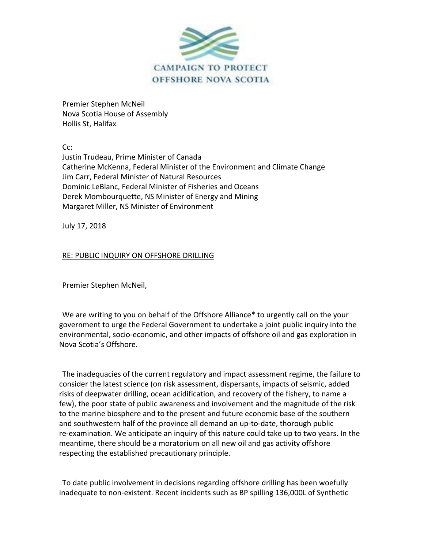

Premier Stephen McNeil Nova Scotia House of Assembly Hollis St, Halifax

Cc:

Justin Trudeau, Prime Minister of Canada Catherine McKenna, Federal Minister of the Environment and Climate Change Jim Carr, Federal Minister of Natural Resources Dominic LeBlanc, Federal Minister of Fisheries and Oceans Derek Mombourquette, NS Minister of Energy and Mining Margaret Miller, NS Minister of Environment

July 17, 2018

## RE: PUBLIC INQUIRY ON OFFSHORE DRILLING

Premier Stephen McNeil,

We are writing to you on behalf of the Offshore Alliance\* to urgently call on the your government to urge the Federal Government to undertake a joint public inquiry into the environmental, socio-economic, and other impacts of offshore oil and gas exploration in Nova Scotia's Offshore.

The inadequacies of the current regulatory and impact assessment regime, the failure to consider the latest science (on risk assessment, dispersants, impacts of seismic, added risks of deepwater drilling, ocean acidification, and recovery of the fishery, to name a few), the poor state of public awareness and involvement and the magnitude of the risk to the marine biosphere and to the present and future economic base of the southern and southwestern half of the province all demand an up-to-date, thorough public re-examination. We anticipate an inquiry of this nature could take up to two years. In the meantime, there should be a moratorium on all new oil and gas activity offshore respecting the established precautionary principle.

To date public involvement in decisions regarding offshore drilling has been woefully inadequate to non-existent. Recent incidents such as BP spilling 136,000L of Synthetic